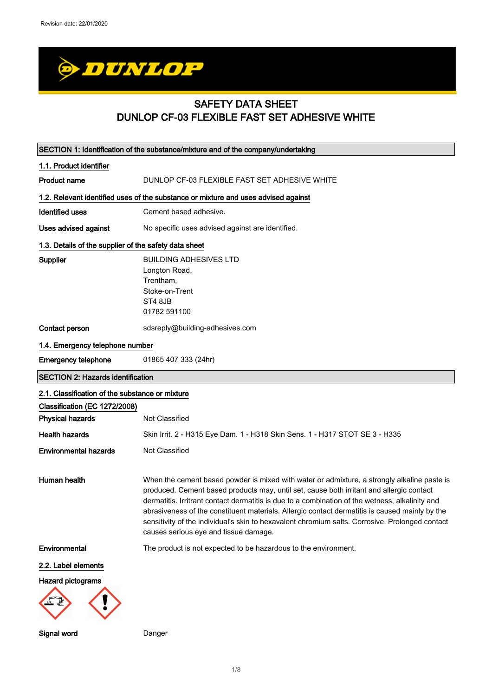

# SAFETY DATA SHEET DUNLOP CF-03 FLEXIBLE FAST SET ADHESIVE WHITE

| SECTION 1: Identification of the substance/mixture and of the company/undertaking |                                                                                                                                                                                                                                                                                                                                                                                                                                                                                                                                          |  |
|-----------------------------------------------------------------------------------|------------------------------------------------------------------------------------------------------------------------------------------------------------------------------------------------------------------------------------------------------------------------------------------------------------------------------------------------------------------------------------------------------------------------------------------------------------------------------------------------------------------------------------------|--|
| 1.1. Product identifier                                                           |                                                                                                                                                                                                                                                                                                                                                                                                                                                                                                                                          |  |
| <b>Product name</b>                                                               | DUNLOP CF-03 FLEXIBLE FAST SET ADHESIVE WHITE                                                                                                                                                                                                                                                                                                                                                                                                                                                                                            |  |
|                                                                                   | 1.2. Relevant identified uses of the substance or mixture and uses advised against                                                                                                                                                                                                                                                                                                                                                                                                                                                       |  |
| <b>Identified uses</b>                                                            | Cement based adhesive.                                                                                                                                                                                                                                                                                                                                                                                                                                                                                                                   |  |
|                                                                                   |                                                                                                                                                                                                                                                                                                                                                                                                                                                                                                                                          |  |
| Uses advised against                                                              | No specific uses advised against are identified.                                                                                                                                                                                                                                                                                                                                                                                                                                                                                         |  |
| 1.3. Details of the supplier of the safety data sheet                             |                                                                                                                                                                                                                                                                                                                                                                                                                                                                                                                                          |  |
| Supplier                                                                          | <b>BUILDING ADHESIVES LTD</b><br>Longton Road,<br>Trentham,<br>Stoke-on-Trent<br>ST4 8JB<br>01782 591100                                                                                                                                                                                                                                                                                                                                                                                                                                 |  |
| Contact person                                                                    | sdsreply@building-adhesives.com                                                                                                                                                                                                                                                                                                                                                                                                                                                                                                          |  |
| 1.4. Emergency telephone number                                                   |                                                                                                                                                                                                                                                                                                                                                                                                                                                                                                                                          |  |
| <b>Emergency telephone</b>                                                        | 01865 407 333 (24hr)                                                                                                                                                                                                                                                                                                                                                                                                                                                                                                                     |  |
| <b>SECTION 2: Hazards identification</b>                                          |                                                                                                                                                                                                                                                                                                                                                                                                                                                                                                                                          |  |
| 2.1. Classification of the substance or mixture                                   |                                                                                                                                                                                                                                                                                                                                                                                                                                                                                                                                          |  |
| Classification (EC 1272/2008)                                                     |                                                                                                                                                                                                                                                                                                                                                                                                                                                                                                                                          |  |
| <b>Physical hazards</b>                                                           | Not Classified                                                                                                                                                                                                                                                                                                                                                                                                                                                                                                                           |  |
| <b>Health hazards</b>                                                             | Skin Irrit. 2 - H315 Eye Dam. 1 - H318 Skin Sens. 1 - H317 STOT SE 3 - H335                                                                                                                                                                                                                                                                                                                                                                                                                                                              |  |
| <b>Environmental hazards</b>                                                      | Not Classified                                                                                                                                                                                                                                                                                                                                                                                                                                                                                                                           |  |
| Human health                                                                      | When the cement based powder is mixed with water or admixture, a strongly alkaline paste is<br>produced. Cement based products may, until set, cause both irritant and allergic contact<br>dermatitis. Irritrant contact dermatitis is due to a combination of the wetness, alkalinity and<br>abrasiveness of the constituent materials. Allergic contact dermatitis is caused mainly by the<br>sensitivity of the individual's skin to hexavalent chromium salts. Corrosive. Prolonged contact<br>causes serious eye and tissue damage. |  |
| Environmental                                                                     | The product is not expected to be hazardous to the environment.                                                                                                                                                                                                                                                                                                                                                                                                                                                                          |  |
| 2.2. Label elements                                                               |                                                                                                                                                                                                                                                                                                                                                                                                                                                                                                                                          |  |
| <b>Hazard pictograms</b>                                                          |                                                                                                                                                                                                                                                                                                                                                                                                                                                                                                                                          |  |
| Signal word                                                                       | Danger                                                                                                                                                                                                                                                                                                                                                                                                                                                                                                                                   |  |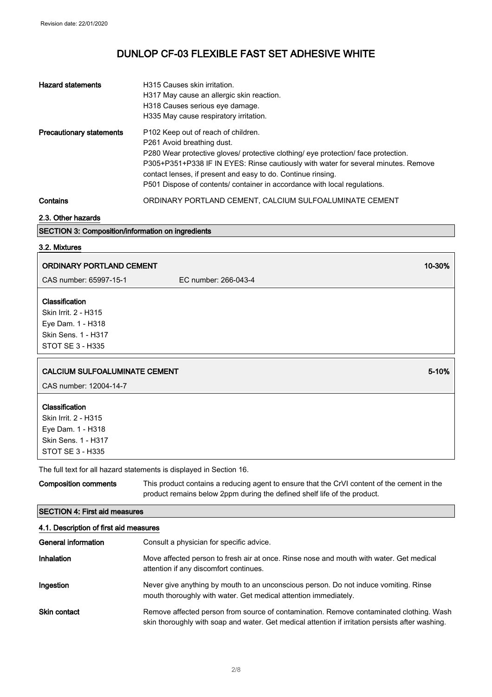| <b>Hazard statements</b>        | H315 Causes skin irritation.<br>H317 May cause an allergic skin reaction.<br>H318 Causes serious eye damage.<br>H335 May cause respiratory irritation.                                                                                                                                                                                                                                                 |
|---------------------------------|--------------------------------------------------------------------------------------------------------------------------------------------------------------------------------------------------------------------------------------------------------------------------------------------------------------------------------------------------------------------------------------------------------|
| <b>Precautionary statements</b> | P <sub>102</sub> Keep out of reach of children.<br>P261 Avoid breathing dust.<br>P280 Wear protective gloves/ protective clothing/ eye protection/ face protection.<br>P305+P351+P338 IF IN EYES: Rinse cautiously with water for several minutes. Remove<br>contact lenses, if present and easy to do. Continue rinsing.<br>P501 Dispose of contents/ container in accordance with local regulations. |
| Contains                        | ORDINARY PORTLAND CEMENT, CALCIUM SULFOALUMINATE CEMENT                                                                                                                                                                                                                                                                                                                                                |

2.3. Other hazards

## SECTION 3: Composition/information on ingredients

## 3.2. Mixtures

| <b>ORDINARY PORTLAND CEMENT</b>                                                                               |                                                                     | 10-30% |
|---------------------------------------------------------------------------------------------------------------|---------------------------------------------------------------------|--------|
| CAS number: 65997-15-1                                                                                        | EC number: 266-043-4                                                |        |
| <b>Classification</b><br>Skin Irrit. 2 - H315<br>Eye Dam. 1 - H318<br>Skin Sens. 1 - H317<br>STOT SE 3 - H335 |                                                                     |        |
| <b>CALCIUM SULFOALUMINATE CEMENT</b><br>CAS number: 12004-14-7                                                |                                                                     | 5-10%  |
| <b>Classification</b><br>Skin Irrit. 2 - H315<br>Eye Dam. 1 - H318<br>Skin Sens. 1 - H317<br>STOT SE 3 - H335 |                                                                     |        |
|                                                                                                               | The full text for all hazard statements is displayed in Section 16. |        |
| <b>Composition comments</b>                                                                                   |                                                                     |        |

## SECTION 4: First aid measures

| 4.1. Description of first aid measures |                                                                                                                                                                                             |  |
|----------------------------------------|---------------------------------------------------------------------------------------------------------------------------------------------------------------------------------------------|--|
| General information                    | Consult a physician for specific advice.                                                                                                                                                    |  |
| Inhalation                             | Move affected person to fresh air at once. Rinse nose and mouth with water. Get medical<br>attention if any discomfort continues.                                                           |  |
| Ingestion                              | Never give anything by mouth to an unconscious person. Do not induce vomiting. Rinse<br>mouth thoroughly with water. Get medical attention immediately.                                     |  |
| <b>Skin contact</b>                    | Remove affected person from source of contamination. Remove contaminated clothing. Wash<br>skin thoroughly with soap and water. Get medical attention if irritation persists after washing. |  |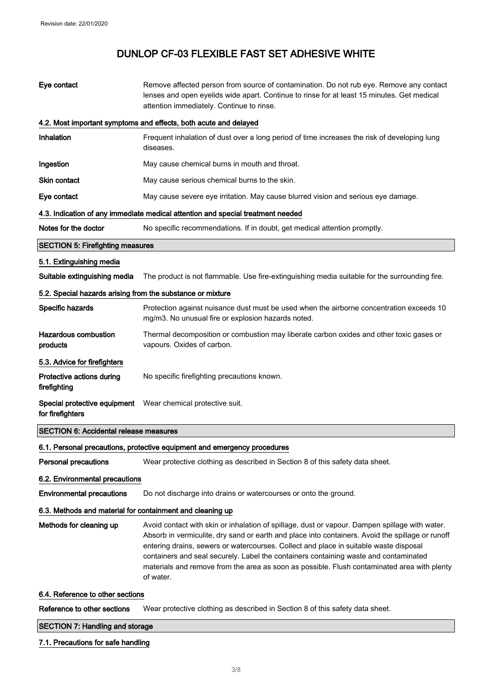| Eye contact                                                | Remove affected person from source of contamination. Do not rub eye. Remove any contact<br>lenses and open eyelids wide apart. Continue to rinse for at least 15 minutes. Get medical<br>attention immediately. Continue to rinse.                                                                                                                                                                                                                                                              |
|------------------------------------------------------------|-------------------------------------------------------------------------------------------------------------------------------------------------------------------------------------------------------------------------------------------------------------------------------------------------------------------------------------------------------------------------------------------------------------------------------------------------------------------------------------------------|
|                                                            | 4.2. Most important symptoms and effects, both acute and delayed                                                                                                                                                                                                                                                                                                                                                                                                                                |
| Inhalation                                                 | Frequent inhalation of dust over a long period of time increases the risk of developing lung<br>diseases.                                                                                                                                                                                                                                                                                                                                                                                       |
| Ingestion                                                  | May cause chemical burns in mouth and throat.                                                                                                                                                                                                                                                                                                                                                                                                                                                   |
| Skin contact                                               | May cause serious chemical burns to the skin.                                                                                                                                                                                                                                                                                                                                                                                                                                                   |
| Eye contact                                                | May cause severe eye irritation. May cause blurred vision and serious eye damage.                                                                                                                                                                                                                                                                                                                                                                                                               |
|                                                            | 4.3. Indication of any immediate medical attention and special treatment needed                                                                                                                                                                                                                                                                                                                                                                                                                 |
| Notes for the doctor                                       | No specific recommendations. If in doubt, get medical attention promptly.                                                                                                                                                                                                                                                                                                                                                                                                                       |
| <b>SECTION 5: Firefighting measures</b>                    |                                                                                                                                                                                                                                                                                                                                                                                                                                                                                                 |
| 5.1. Extinguishing media                                   |                                                                                                                                                                                                                                                                                                                                                                                                                                                                                                 |
| Suitable extinguishing media                               | The product is not flammable. Use fire-extinguishing media suitable for the surrounding fire.                                                                                                                                                                                                                                                                                                                                                                                                   |
| 5.2. Special hazards arising from the substance or mixture |                                                                                                                                                                                                                                                                                                                                                                                                                                                                                                 |
| Specific hazards                                           | Protection against nuisance dust must be used when the airborne concentration exceeds 10<br>mg/m3. No unusual fire or explosion hazards noted.                                                                                                                                                                                                                                                                                                                                                  |
| <b>Hazardous combustion</b><br>products                    | Thermal decomposition or combustion may liberate carbon oxides and other toxic gases or<br>vapours. Oxides of carbon.                                                                                                                                                                                                                                                                                                                                                                           |
| 5.3. Advice for firefighters                               |                                                                                                                                                                                                                                                                                                                                                                                                                                                                                                 |
| Protective actions during<br>firefighting                  | No specific firefighting precautions known.                                                                                                                                                                                                                                                                                                                                                                                                                                                     |
| for firefighters                                           | Special protective equipment  Wear chemical protective suit.                                                                                                                                                                                                                                                                                                                                                                                                                                    |
| <b>SECTION 6: Accidental release measures</b>              |                                                                                                                                                                                                                                                                                                                                                                                                                                                                                                 |
|                                                            | 6.1. Personal precautions, protective equipment and emergency procedures                                                                                                                                                                                                                                                                                                                                                                                                                        |
| <b>Personal precautions</b>                                | Wear protective clothing as described in Section 8 of this safety data sheet.                                                                                                                                                                                                                                                                                                                                                                                                                   |
| 6.2. Environmental precautions                             |                                                                                                                                                                                                                                                                                                                                                                                                                                                                                                 |
| <b>Environmental precautions</b>                           | Do not discharge into drains or watercourses or onto the ground.                                                                                                                                                                                                                                                                                                                                                                                                                                |
| 6.3. Methods and material for containment and cleaning up  |                                                                                                                                                                                                                                                                                                                                                                                                                                                                                                 |
| Methods for cleaning up                                    | Avoid contact with skin or inhalation of spillage, dust or vapour. Dampen spillage with water.<br>Absorb in vermiculite, dry sand or earth and place into containers. Avoid the spillage or runoff<br>entering drains, sewers or watercourses. Collect and place in suitable waste disposal<br>containers and seal securely. Label the containers containing waste and contaminated<br>materials and remove from the area as soon as possible. Flush contaminated area with plenty<br>of water. |
| 6.4. Reference to other sections                           |                                                                                                                                                                                                                                                                                                                                                                                                                                                                                                 |
| Reference to other sections                                | Wear protective clothing as described in Section 8 of this safety data sheet.                                                                                                                                                                                                                                                                                                                                                                                                                   |

## **SECTION 7: Handling and storage**

## 7.1. Precautions for safe handling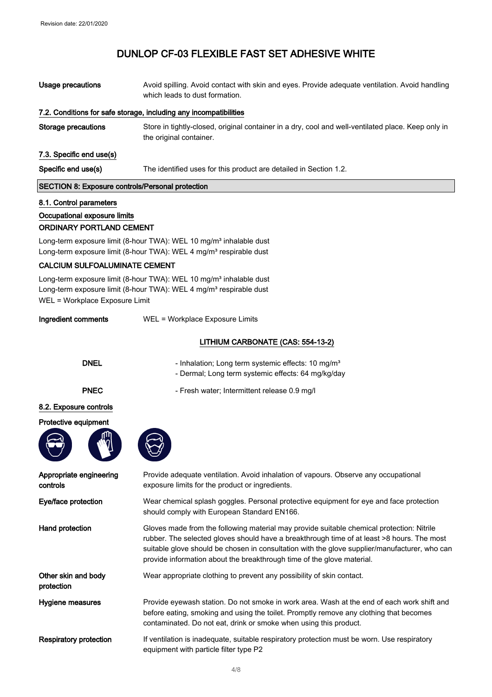| Usage precautions                                                 | Avoid spilling. Avoid contact with skin and eyes. Provide adequate ventilation. Avoid handling<br>which leads to dust formation. |
|-------------------------------------------------------------------|----------------------------------------------------------------------------------------------------------------------------------|
| 7.2. Conditions for safe storage, including any incompatibilities |                                                                                                                                  |
| <b>Storage precautions</b>                                        | Store in tightly-closed, original container in a dry, cool and well-ventilated place. Keep only in<br>the original container.    |
| 7.3. Specific end use(s)                                          |                                                                                                                                  |
| Specific end use(s)                                               | The identified uses for this product are detailed in Section 1.2.                                                                |
| SECTION 8: Exposure controls/Personal protection                  |                                                                                                                                  |
|                                                                   |                                                                                                                                  |

#### 8.1. Control parameters

protection

## Occupational exposure limits

## ORDINARY PORTLAND CEMENT

Long-term exposure limit (8-hour TWA): WEL 10 mg/m<sup>3</sup> inhalable dust Long-term exposure limit (8-hour TWA): WEL 4 mg/m<sup>3</sup> respirable dust

#### CALCIUM SULFOALUMINATE CEMENT

Long-term exposure limit (8-hour TWA): WEL 10 mg/m<sup>3</sup> inhalable dust Long-term exposure limit (8-hour TWA): WEL 4 mg/m<sup>3</sup> respirable dust WEL = Workplace Exposure Limit

| Ingredient comments | WEL = Workplace Exposure Limits |
|---------------------|---------------------------------|

## LITHIUM CARBONATE (CAS: 554-13-2)

| <b>DNEL</b>                         | - Inhalation; Long term systemic effects: 10 mg/m <sup>3</sup><br>- Dermal; Long term systemic effects: 64 mg/kg/day                   |
|-------------------------------------|----------------------------------------------------------------------------------------------------------------------------------------|
| <b>PNEC</b>                         | - Fresh water; Intermittent release 0.9 mg/l                                                                                           |
| 8.2. Exposure controls              |                                                                                                                                        |
| Protective equipment                |                                                                                                                                        |
|                                     |                                                                                                                                        |
| Appropriate engineering<br>controls | Provide adequate ventilation. Avoid inhalation of vapours. Observe any occupational<br>exposure limits for the product or ingredients. |

Eye/face protection Wear chemical splash goggles. Personal protective equipment for eye and face protection should comply with European Standard EN166.

Hand protection Gloves made from the following material may provide suitable chemical protection: Nitrile rubber. The selected gloves should have a breakthrough time of at least >8 hours. The most suitable glove should be chosen in consultation with the glove supplier/manufacturer, who can provide information about the breakthrough time of the glove material.

Other skin and body Wear appropriate clothing to prevent any possibility of skin contact.

Hygiene measures **Provide eyewash station.** Do not smoke in work area. Wash at the end of each work shift and before eating, smoking and using the toilet. Promptly remove any clothing that becomes contaminated. Do not eat, drink or smoke when using this product.

Respiratory protection If ventilation is inadequate, suitable respiratory protection must be worn. Use respiratory equipment with particle filter type P2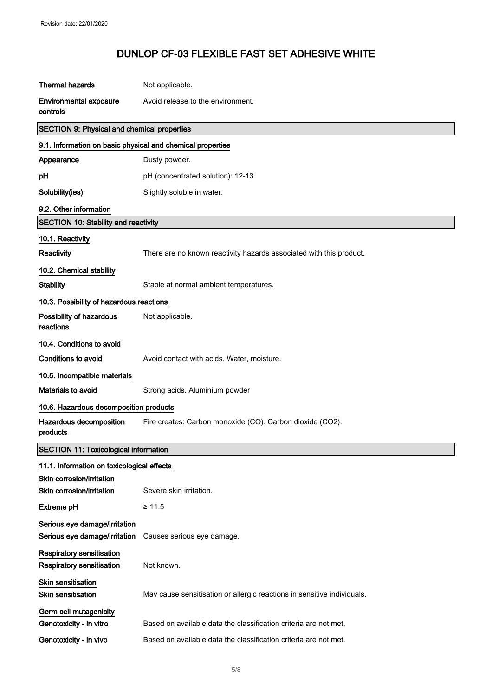| <b>Thermal hazards</b>                                         | Not applicable.                                                         |
|----------------------------------------------------------------|-------------------------------------------------------------------------|
| <b>Environmental exposure</b><br>controls                      | Avoid release to the environment.                                       |
| <b>SECTION 9: Physical and chemical properties</b>             |                                                                         |
| 9.1. Information on basic physical and chemical properties     |                                                                         |
| Appearance                                                     | Dusty powder.                                                           |
| pН                                                             | pH (concentrated solution): 12-13                                       |
| Solubility(ies)                                                | Slightly soluble in water.                                              |
| 9.2. Other information                                         |                                                                         |
| <b>SECTION 10: Stability and reactivity</b>                    |                                                                         |
| 10.1. Reactivity                                               |                                                                         |
| Reactivity                                                     | There are no known reactivity hazards associated with this product.     |
| 10.2. Chemical stability                                       |                                                                         |
| <b>Stability</b>                                               | Stable at normal ambient temperatures.                                  |
| 10.3. Possibility of hazardous reactions                       |                                                                         |
| Possibility of hazardous<br>reactions                          | Not applicable.                                                         |
| 10.4. Conditions to avoid                                      |                                                                         |
| <b>Conditions to avoid</b>                                     | Avoid contact with acids. Water, moisture.                              |
| 10.5. Incompatible materials                                   |                                                                         |
| <b>Materials to avoid</b>                                      | Strong acids. Aluminium powder                                          |
| 10.6. Hazardous decomposition products                         |                                                                         |
| Hazardous decomposition<br>products                            | Fire creates: Carbon monoxide (CO). Carbon dioxide (CO2).               |
| <b>SECTION 11: Toxicological information</b>                   |                                                                         |
| 11.1. Information on toxicological effects                     |                                                                         |
| Skin corrosion/irritation                                      |                                                                         |
| Skin corrosion/irritation                                      | Severe skin irritation.                                                 |
| <b>Extreme pH</b>                                              | $\geq 11.5$                                                             |
| Serious eye damage/irritation<br>Serious eye damage/irritation | Causes serious eye damage.                                              |
| <b>Respiratory sensitisation</b><br>Respiratory sensitisation  | Not known.                                                              |
| <b>Skin sensitisation</b><br><b>Skin sensitisation</b>         | May cause sensitisation or allergic reactions in sensitive individuals. |
| Germ cell mutagenicity                                         |                                                                         |
| Genotoxicity - in vitro                                        | Based on available data the classification criteria are not met.        |
| Genotoxicity - in vivo                                         | Based on available data the classification criteria are not met.        |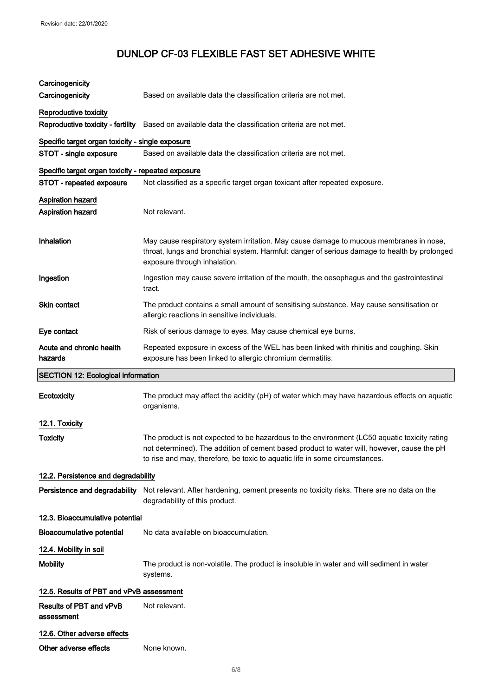| Carcinogenicity                                    |                                                                                                                                                                                                                                                                           |
|----------------------------------------------------|---------------------------------------------------------------------------------------------------------------------------------------------------------------------------------------------------------------------------------------------------------------------------|
| Carcinogenicity                                    | Based on available data the classification criteria are not met.                                                                                                                                                                                                          |
| Reproductive toxicity                              |                                                                                                                                                                                                                                                                           |
| Reproductive toxicity - fertility                  | Based on available data the classification criteria are not met.                                                                                                                                                                                                          |
| Specific target organ toxicity - single exposure   |                                                                                                                                                                                                                                                                           |
| STOT - single exposure                             | Based on available data the classification criteria are not met.                                                                                                                                                                                                          |
| Specific target organ toxicity - repeated exposure |                                                                                                                                                                                                                                                                           |
| STOT - repeated exposure                           | Not classified as a specific target organ toxicant after repeated exposure.                                                                                                                                                                                               |
| <b>Aspiration hazard</b>                           |                                                                                                                                                                                                                                                                           |
| <b>Aspiration hazard</b>                           | Not relevant.                                                                                                                                                                                                                                                             |
| Inhalation                                         | May cause respiratory system irritation. May cause damage to mucous membranes in nose,<br>throat, lungs and bronchial system. Harmful: danger of serious damage to health by prolonged<br>exposure through inhalation.                                                    |
| Ingestion                                          | Ingestion may cause severe irritation of the mouth, the oesophagus and the gastrointestinal<br>tract.                                                                                                                                                                     |
| Skin contact                                       | The product contains a small amount of sensitising substance. May cause sensitisation or<br>allergic reactions in sensitive individuals.                                                                                                                                  |
| Eye contact                                        | Risk of serious damage to eyes. May cause chemical eye burns.                                                                                                                                                                                                             |
| Acute and chronic health<br>hazards                | Repeated exposure in excess of the WEL has been linked with rhinitis and coughing. Skin<br>exposure has been linked to allergic chromium dermatitis.                                                                                                                      |
|                                                    |                                                                                                                                                                                                                                                                           |
| <b>SECTION 12: Ecological information</b>          |                                                                                                                                                                                                                                                                           |
| Ecotoxicity                                        | The product may affect the acidity (pH) of water which may have hazardous effects on aquatic<br>organisms.                                                                                                                                                                |
| 12.1. Toxicity                                     |                                                                                                                                                                                                                                                                           |
| Toxicity                                           | The product is not expected to be hazardous to the environment (LC50 aquatic toxicity rating<br>not determined). The addition of cement based product to water will, however, cause the pH<br>to rise and may, therefore, be toxic to aquatic life in some circumstances. |
| 12.2. Persistence and degradability                |                                                                                                                                                                                                                                                                           |
| Persistence and degradability                      | Not relevant. After hardening, cement presents no toxicity risks. There are no data on the<br>degradability of this product.                                                                                                                                              |
| 12.3. Bioaccumulative potential                    |                                                                                                                                                                                                                                                                           |
| <b>Bioaccumulative potential</b>                   | No data available on bioaccumulation.                                                                                                                                                                                                                                     |
| 12.4. Mobility in soil                             |                                                                                                                                                                                                                                                                           |
| <b>Mobility</b>                                    | The product is non-volatile. The product is insoluble in water and will sediment in water<br>systems.                                                                                                                                                                     |
| 12.5. Results of PBT and vPvB assessment           |                                                                                                                                                                                                                                                                           |
| Results of PBT and vPvB<br>assessment              | Not relevant.                                                                                                                                                                                                                                                             |
| 12.6. Other adverse effects                        |                                                                                                                                                                                                                                                                           |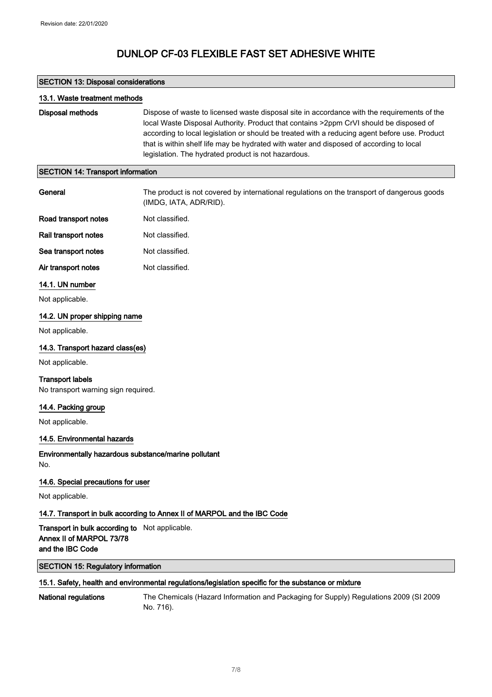## SECTION 13: Disposal considerations

| 13.1. Waste treatment methods            |                                                                                                                                                                                                                                                                                                                                                                                                                                          |
|------------------------------------------|------------------------------------------------------------------------------------------------------------------------------------------------------------------------------------------------------------------------------------------------------------------------------------------------------------------------------------------------------------------------------------------------------------------------------------------|
| Disposal methods                         | Dispose of waste to licensed waste disposal site in accordance with the requirements of the<br>local Waste Disposal Authority. Product that contains >2ppm CrVI should be disposed of<br>according to local legislation or should be treated with a reducing agent before use. Product<br>that is within shelf life may be hydrated with water and disposed of according to local<br>legislation. The hydrated product is not hazardous. |
| <b>SECTION 14: Transport information</b> |                                                                                                                                                                                                                                                                                                                                                                                                                                          |

| General                                                                                        | The product is not covered by international regulations on the transport of dangerous goods<br>(IMDG, IATA, ADR/RID). |
|------------------------------------------------------------------------------------------------|-----------------------------------------------------------------------------------------------------------------------|
| Road transport notes                                                                           | Not classified.                                                                                                       |
| Rail transport notes                                                                           | Not classified.                                                                                                       |
| Sea transport notes                                                                            | Not classified.                                                                                                       |
| Air transport notes                                                                            | Not classified.                                                                                                       |
| 14.1. UN number                                                                                |                                                                                                                       |
| Not applicable.                                                                                |                                                                                                                       |
| 14.2. UN proper shipping name                                                                  |                                                                                                                       |
| Not applicable.                                                                                |                                                                                                                       |
| 14.3. Transport hazard class(es)                                                               |                                                                                                                       |
| Not applicable.                                                                                |                                                                                                                       |
| <b>Transport labels</b><br>No transport warning sign required.                                 |                                                                                                                       |
| 14.4. Packing group                                                                            |                                                                                                                       |
| Not applicable.                                                                                |                                                                                                                       |
| 14.5. Environmental hazards                                                                    |                                                                                                                       |
| Environmentally hazardous substance/marine pollutant<br>No.                                    |                                                                                                                       |
| 14.6. Special precautions for user                                                             |                                                                                                                       |
| Not applicable.                                                                                |                                                                                                                       |
|                                                                                                | 14.7. Transport in bulk according to Annex II of MARPOL and the IBC Code                                              |
| Transport in bulk according to Not applicable.<br>Annex II of MARPOL 73/78<br>and the IBC Code |                                                                                                                       |
| <b>SECTION 15: Regulatory information</b>                                                      |                                                                                                                       |
|                                                                                                | 15.1. Safety, health and environmental regulations/legislation specific for the substance or mixture                  |

National regulations The Chemicals (Hazard Information and Packaging for Supply) Regulations 2009 (SI 2009 No. 716).